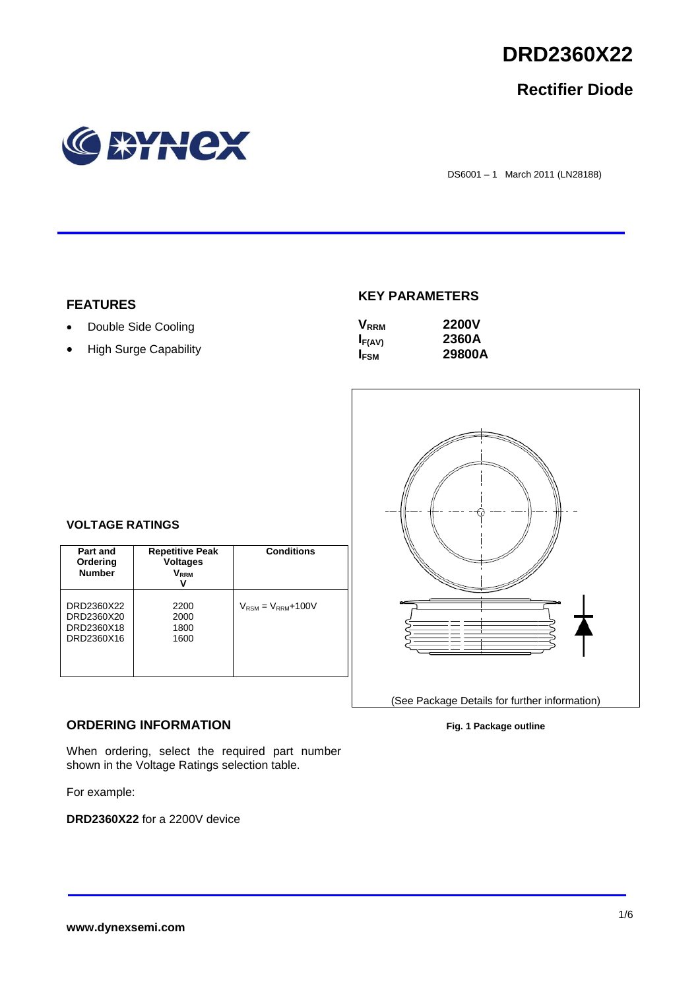

# **Rectifier Diode**



DS6001 – 1 March 2011 (LN28188)

### **FEATURES**

- Double Side Cooling
- High Surge Capability

## **KEY PARAMETERS**

| <b>V</b> <sub>RRM</sub> | <b>2200V</b> |
|-------------------------|--------------|
| $I_{F(AV)}$             | 2360A        |
| <b>I</b> <sub>FSM</sub> | 29800A       |



## **VOLTAGE RATINGS**

| Part and<br>Ordering<br><b>Number</b>                | <b>Repetitive Peak</b><br><b>Voltages</b><br>$\mathsf{V}_\mathsf{RRM}$<br>ν | <b>Conditions</b>                        |
|------------------------------------------------------|-----------------------------------------------------------------------------|------------------------------------------|
| DRD2360X22<br>DRD2360X20<br>DRD2360X18<br>DRD2360X16 | 2200<br>2000<br>1800<br>1600                                                | $V_{\text{RSM}} = V_{\text{RRM}} + 100V$ |

### **ORDERING INFORMATION**

When ordering, select the required part number shown in the Voltage Ratings selection table.

For example:

**DRD2360X22** for a 2200V device

#### **Fig. 1 Package outline**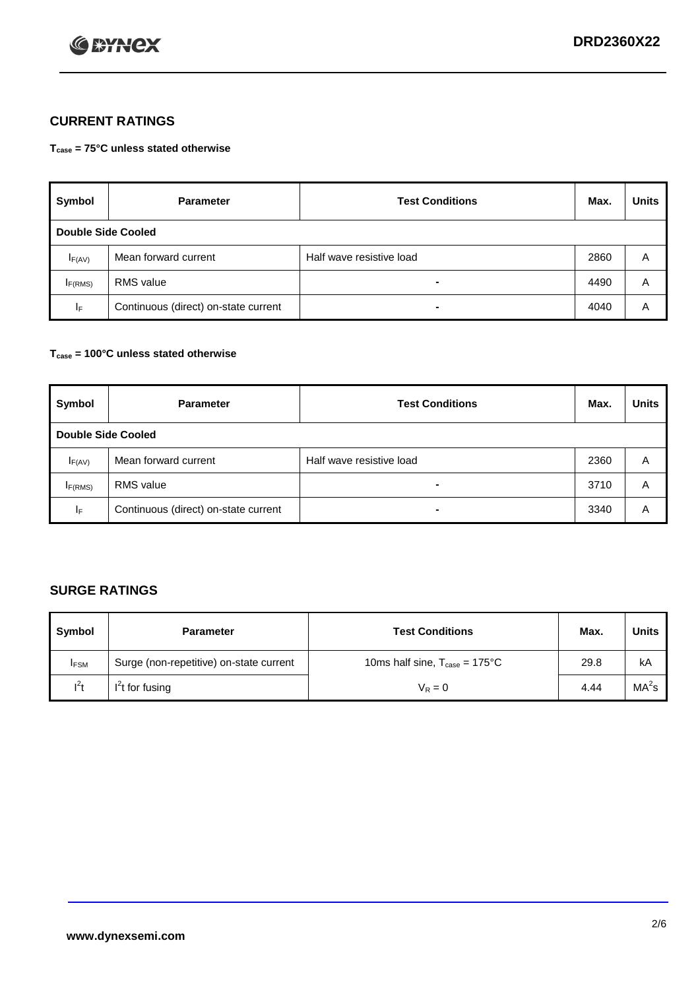

## **CURRENT RATINGS**

**Tcase = 75°C unless stated otherwise**

| Symbol              | <b>Parameter</b>                     | <b>Test Conditions</b>   | Max. | <b>Units</b> |  |  |
|---------------------|--------------------------------------|--------------------------|------|--------------|--|--|
|                     | Double Side Cooled                   |                          |      |              |  |  |
| $I_{F(AV)}$         | Mean forward current                 | Half wave resistive load | 2860 | A            |  |  |
| I <sub>F(RMS)</sub> | <b>RMS</b> value                     | -                        | 4490 | Α            |  |  |
| IF.                 | Continuous (direct) on-state current | -                        | 4040 | Α            |  |  |

### **Tcase = 100°C unless stated otherwise**

| Symbol              | <b>Parameter</b>                     | <b>Test Conditions</b>   | Max. | <b>Units</b> |  |  |
|---------------------|--------------------------------------|--------------------------|------|--------------|--|--|
|                     | <b>Double Side Cooled</b>            |                          |      |              |  |  |
| $I_{F(AV)}$         | Mean forward current                 | Half wave resistive load | 2360 | Α            |  |  |
| I <sub>F(RMS)</sub> | <b>RMS</b> value                     | $\overline{\phantom{0}}$ | 3710 | A            |  |  |
| IF                  | Continuous (direct) on-state current | ۰                        | 3340 | A            |  |  |

## **SURGE RATINGS**

| Symbol      | <b>Parameter</b>                        | <b>Test Conditions</b>                            | Max. | <b>Units</b>      |
|-------------|-----------------------------------------|---------------------------------------------------|------|-------------------|
| <b>IFSM</b> | Surge (non-repetitive) on-state current | 10ms half sine, $T_{\text{case}} = 175^{\circ}$ C | 29.8 | kA                |
| $l^2t$      | I <sup>'</sup> t for fusing             | $V_R = 0$                                         | 4.44 | MA <sup>2</sup> s |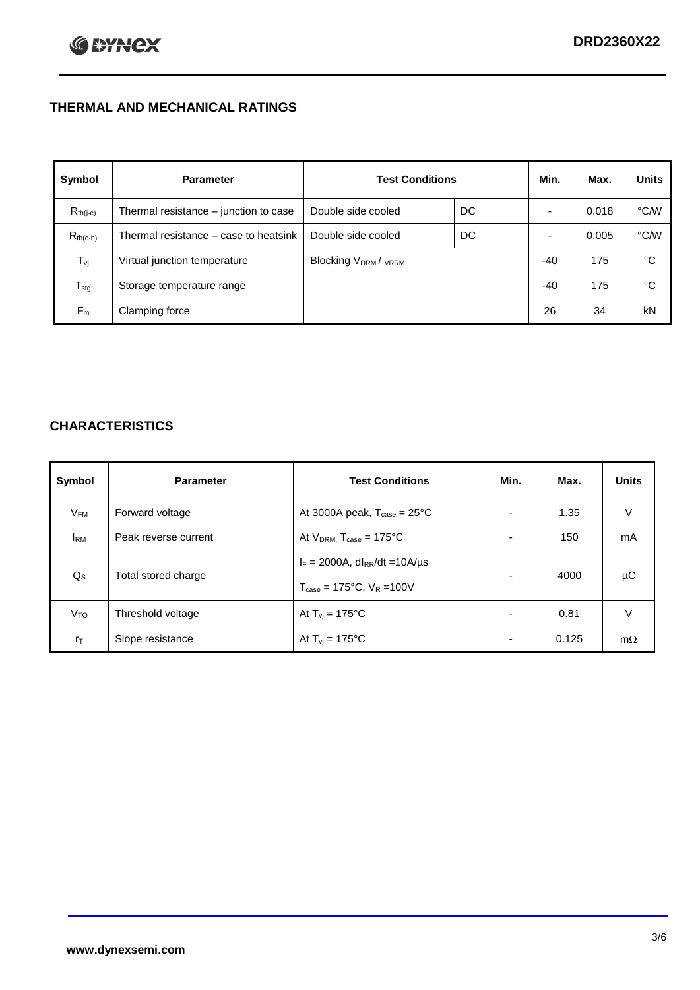## **THERMAL AND MECHANICAL RATINGS**

| Symbol           | <b>Parameter</b>                      | <b>Test Conditions</b>                      |    | Min.  | Max.  | <b>Units</b>  |
|------------------|---------------------------------------|---------------------------------------------|----|-------|-------|---------------|
| $R_{th(j-c)}$    | Thermal resistance - junction to case | Double side cooled                          | DC |       | 0.018 | °C/W          |
| $R_{th(c-h)}$    | Thermal resistance – case to heatsink | Double side cooled                          | DC |       | 0.005 | $\degree$ C/W |
| $T_{\rm vj}$     | Virtual junction temperature          | Blocking V <sub>DRM</sub> / <sub>VRRM</sub> |    | -40   | 175   | °C            |
| $T_{\text{stg}}$ | Storage temperature range             |                                             |    | $-40$ | 175   | °C            |
| $F_m$            | Clamping force                        |                                             |    | 26    | 34    | kN            |

## **CHARACTERISTICS**

| Symbol                   | <b>Parameter</b>     | <b>Test Conditions</b>                                                                           | Min.           | Max.  | <b>Units</b> |
|--------------------------|----------------------|--------------------------------------------------------------------------------------------------|----------------|-------|--------------|
| $\mathsf{V}_\mathsf{FM}$ | Forward voltage      | At 3000A peak, $T_{\text{case}} = 25^{\circ}C$                                                   |                | 1.35  | V            |
| <b>I</b> <sub>RM</sub>   | Peak reverse current | At $V_{DRM}$ , $T_{case} = 175^{\circ}C$                                                         | ۰              | 150   | mA           |
| $Q_{\rm S}$              | Total stored charge  | $I_F = 2000A$ , dl <sub>RR</sub> /dt = 10A/us<br>$T_{\text{case}} = 175^{\circ}C$ , $V_R = 100V$ | $\blacksquare$ | 4000  | μC           |
| V <sub>TO</sub>          | Threshold voltage    | At $T_{vi} = 175^{\circ}C$                                                                       | $\blacksquare$ | 0.81  | V            |
| $r_{\text{T}}$           | Slope resistance     | At $T_{vi} = 175^{\circ}C$                                                                       | ۰              | 0.125 | $m\Omega$    |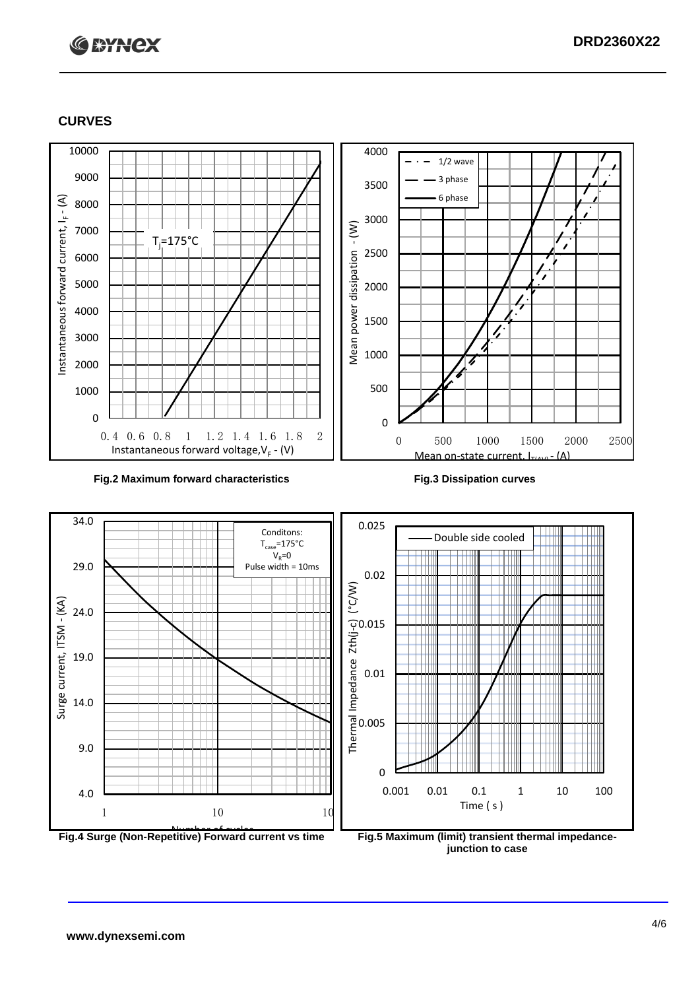

#### **CURVES**







**junction to case**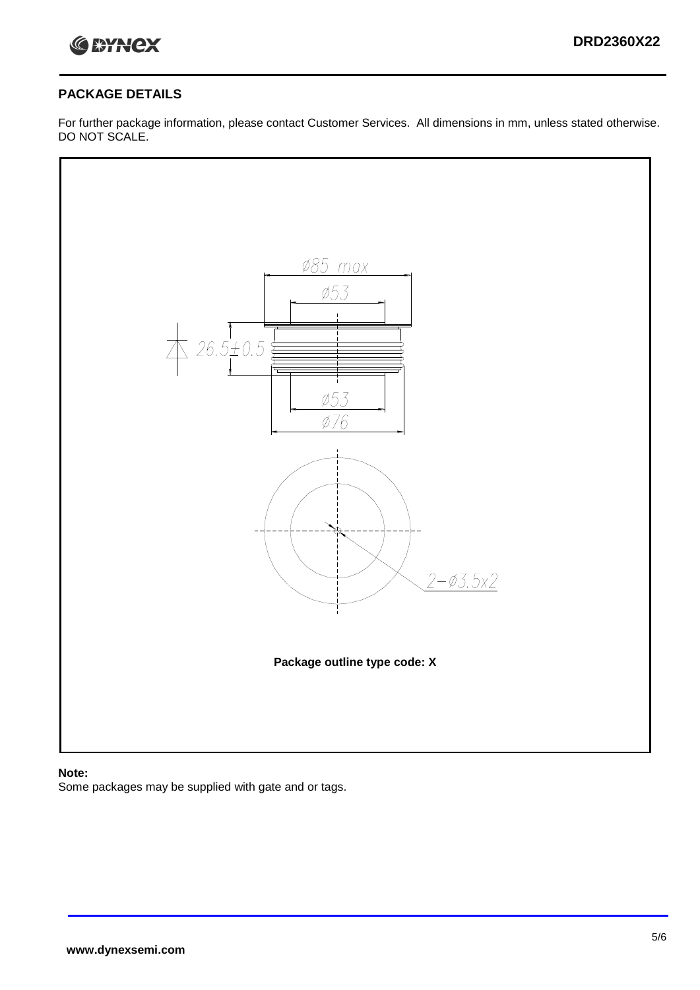

## **PACKAGE DETAILS**

For further package information, please contact Customer Services. All dimensions in mm, unless stated otherwise. DO NOT SCALE.



## **Note:**

Some packages may be supplied with gate and or tags.